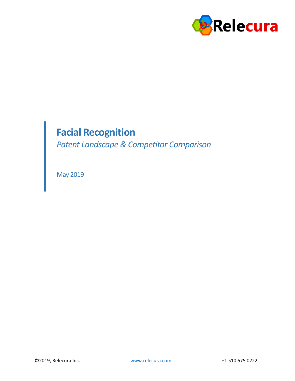

# **Facial Recognition**

*Patent Landscape & Competitor Comparison*

May 2019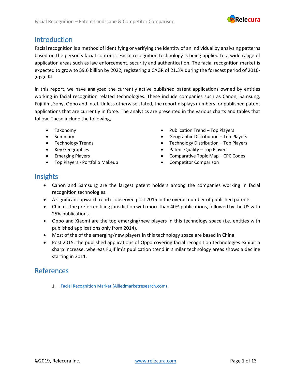

### Introduction

Facial recognition is a method of identifying or verifying the identity of an individual by analyzing patterns based on the person's facial contours. Facial recognition technology is being applied to a wide range of application areas such as law enforcement, security and authentication. The facial recognition market is expected to grow to \$9.6 billion by 2022, registering a CAGR of 21.3% during the forecast period of 2016-  $2022.$  [1]

In this report, we have analyzed the currently active published patent applications owned by entities working in facial recognition related technologies. These include companies such as Canon, Samsung, Fujifilm, Sony, Oppo and Intel. Unless otherwise stated, the report displays numbers for published patent applications that are currently in force. The analytics are presented in the various charts and tables that follow. These include the following,

- Taxonomy
- Summary
- 
- 
- Emerging Players
- Top Players Portfolio Makeup
- Publication Trend Top Players
- Geographic Distribution Top Players
- Technology Trends Technology Distribution Top Players
- Key Geographies Patent Quality Top Players
	- Comparative Topic Map CPC Codes
	- Competitor Comparison

#### Insights

- Canon and Samsung are the largest patent holders among the companies working in facial recognition technologies.
- A significant upward trend is observed post 2015 in the overall number of published patents.
- China is the preferred filing jurisdiction with more than 40% publications, followed by the US with 25% publications.
- Oppo and Xiaomi are the top emerging/new players in this technology space (i.e. entities with published applications only from 2014).
- Most of the of the emerging/new players in this technology space are based in China.
- Post 2015, the published applications of Oppo covering facial recognition technologies exhibit a sharp increase, whereas Fujifilm's publication trend in similar technology areas shows a decline starting in 2011.

#### References

1. [Facial Recognition Market \(Alliedmarketresearch.com\)](https://www.alliedmarketresearch.com/facial-recognition-market)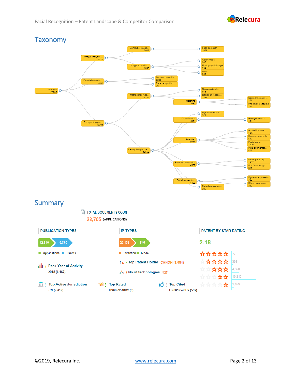



US8659548B2 (552)

US8659548B2 (5)

CN (9,619)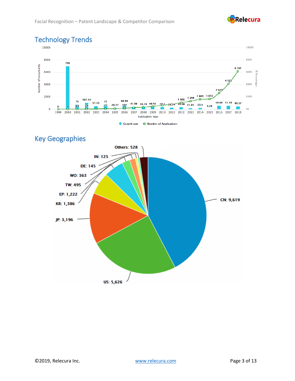

# Technology Trends



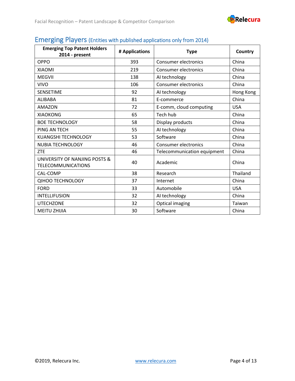

| <b>Emerging Top Patent Holders</b><br>2014 - present       | # Applications | <b>Type</b>                 | Country    |
|------------------------------------------------------------|----------------|-----------------------------|------------|
| OPPO                                                       | 393            | <b>Consumer electronics</b> | China      |
| <b>XIAOMI</b>                                              | 219            | <b>Consumer electronics</b> | China      |
| <b>MEGVII</b>                                              | 138            | AI technology               | China      |
| <b>VIVO</b>                                                | 106            | <b>Consumer electronics</b> | China      |
| <b>SENSETIME</b>                                           | 92             | AI technology               | Hong Kong  |
| <b>ALIBABA</b>                                             | 81             | E-commerce                  | China      |
| <b>AMAZON</b>                                              | 72             | E-comm, cloud computing     | <b>USA</b> |
| <b>XIAOKONG</b>                                            | 65             | Tech hub                    | China      |
| <b>BOE TECHNOLOGY</b>                                      | 58             | Display products            | China      |
| PING AN TECH                                               | 55             | AI technology               | China      |
| <b>KUANGSHI TECHNOLOGY</b>                                 | 53             | Software                    | China      |
| <b>NUBIA TECHNOLOGY</b>                                    | 46             | <b>Consumer electronics</b> | China      |
| <b>ZTE</b>                                                 | 46             | Telecommunication equipment | China      |
| UNIVERSITY OF NANJING POSTS &<br><b>TELECOMMUNICATIONS</b> | 40             | Academic                    | China      |
| CAL-COMP                                                   | 38             | Research                    | Thailand   |
| <b>QIHOO TECHNOLOGY</b>                                    | 37             | Internet                    | China      |
| <b>FORD</b>                                                | 33             | Automobile                  | <b>USA</b> |
| <b>INTELLIFUSION</b>                                       | 32             | AI technology               | China      |
| <b>UTECHZONE</b>                                           | 32             | <b>Optical imaging</b>      | Taiwan     |
| <b>MEITU ZHIJIA</b>                                        | 30             | Software                    | China      |

### Emerging Players (Entities with published applications only from 2014)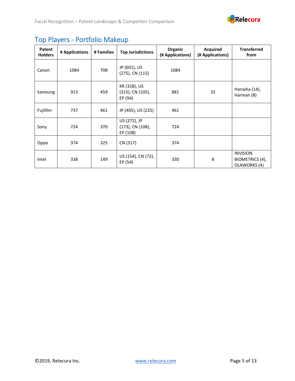

| Patent<br><b>Holders</b> | # Applications | # Families | <b>Top Jurisdictions</b>                     | Organic<br>(# Applications) | <b>Acquired</b><br>(# Applications) | <b>Transferred</b><br>from                         |
|--------------------------|----------------|------------|----------------------------------------------|-----------------------------|-------------------------------------|----------------------------------------------------|
| Canon                    | 1084           | 708        | JP (601), US<br>$(275)$ , CN $(115)$         | 1084                        |                                     |                                                    |
| Samsung                  | 913            | 459        | KR (318), US<br>(315), CN (105),<br>EP (94)  | 881                         | 32                                  | Hanwha (14),<br>Harman (8)                         |
| Fujifilm                 | 737            | 461        | JP (405), US (225)                           | 461                         |                                     |                                                    |
| Sony                     | 724            | 370        | US (272), JP<br>(173), CN (108),<br>EP (108) | 724                         |                                     |                                                    |
| Oppo                     | 374            | 325        | CN (317)                                     | 374                         |                                     |                                                    |
| Intel                    | 338            | 149        | US (154), CN (72),<br>EP (54)                | 330                         | 8                                   | <b>INVISION</b><br>BIOMETRICS (4),<br>OLAWORKS (4) |

# Top Players - Portfolio Makeup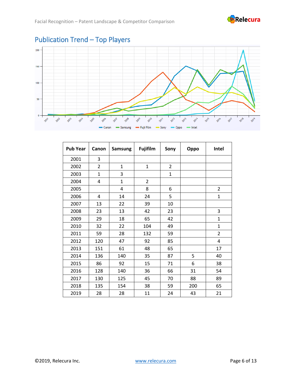



| <b>Pub Year</b> | Canon          | <b>Samsung</b> | <b>Fujifilm</b> | Sony           | Oppo | Intel          |
|-----------------|----------------|----------------|-----------------|----------------|------|----------------|
| 2001            | 3              |                |                 |                |      |                |
| 2002            | $\overline{2}$ | $\mathbf{1}$   | $\mathbf{1}$    | $\overline{2}$ |      |                |
| 2003            | $\overline{1}$ | 3              |                 | $\mathbf{1}$   |      |                |
| 2004            | 4              | $\mathbf{1}$   | $\overline{2}$  |                |      |                |
| 2005            |                | 4              | 8               | 6              |      | $\overline{2}$ |
| 2006            | 4              | 14             | 24              | 5              |      | $\mathbf{1}$   |
| 2007            | 13             | 22             | 39              | 10             |      |                |
| 2008            | 23             | 13             | 42              | 23             |      | 3              |
| 2009            | 29             | 18             | 65              | 42             |      | $\mathbf{1}$   |
| 2010            | 32             | 22             | 104             | 49             |      | $\mathbf{1}$   |
| 2011            | 59             | 28             | 132             | 59             |      | $\overline{2}$ |
| 2012            | 120            | 47             | 92              | 85             |      | 4              |
| 2013            | 151            | 61             | 48              | 65             |      | 17             |
| 2014            | 136            | 140            | 35              | 87             | 5    | 40             |
| 2015            | 86             | 92             | 15              | 71             | 6    | 38             |
| 2016            | 128            | 140            | 36              | 66             | 31   | 54             |
| 2017            | 130            | 125            | 45              | 70             | 88   | 89             |
| 2018            | 135            | 154            | 38              | 59             | 200  | 65             |
| 2019            | 28             | 28             | 11              | 24             | 43   | 21             |

### Publication Trend – Top Players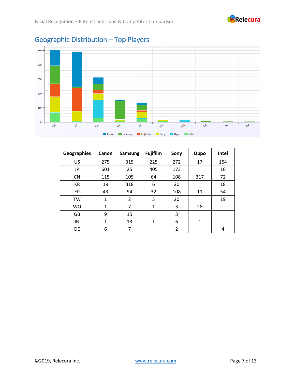



#### **Geographies Canon Samsung Fujifilm Sony Oppo Intel** US 275 315 225 272 17 154 JP 601 25 405 173 16 CN | 115 | 105 | 64 | 108 | 317 | 72 KR | 19 | 318 | 6 | 20 | 18 EP 43 94 32 108 11 54 TW | 1 | 2 | 3 | 20 | 19 WO | 1 | 7 | 1 | 3 | 28 GB | 9 | 15 | | | 3 IN | 1 | 13 | 1 | 6 | 1 DE | 6 | 7 | | 2 | | 4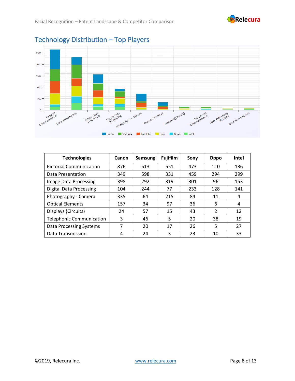



### Technology Distribution – Top Players

| <b>Technologies</b>             | Canon | <b>Samsung</b> | <b>Fujifilm</b> | Sony | Oppo          | <b>Intel</b> |
|---------------------------------|-------|----------------|-----------------|------|---------------|--------------|
| <b>Pictorial Communication</b>  | 876   | 513            | 551             | 473  | 110           | 136          |
| <b>Data Presentation</b>        | 349   | 598            | 331             | 459  | 294           | 299          |
| Image Data Processing           | 398   | 292            | 319             | 301  | 96            | 153          |
| <b>Digital Data Processing</b>  | 104   | 244            | 77              | 233  | 128           | 141          |
| Photography - Camera            | 335   | 64             | 215             | 84   | 11            | 4            |
| <b>Optical Elements</b>         | 157   | 34             | 97              | 36   | 6             | 4            |
| Displays (Circuits)             | 24    | 57             | 15              | 43   | $\mathcal{P}$ | 12           |
| <b>Telephonic Communication</b> | 3     | 46             | 5               | 20   | 38            | 19           |
| Data Processing Systems         | 7     | 20             | 17              | 26   | 5             | 27           |
| Data Transmission               | 4     | 24             | 3               | 23   | 10            | 33           |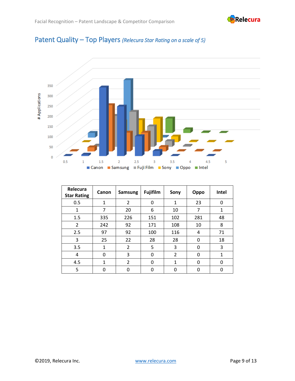

### Patent Quality – Top Players *(Relecura Star Rating on a scale of 5)*



| Relecura<br><b>Star Rating</b> | Canon        | <b>Samsung</b> | <b>Fujifilm</b> | Sony           | Oppo         | Intel        |
|--------------------------------|--------------|----------------|-----------------|----------------|--------------|--------------|
| 0.5                            | $\mathbf{1}$ | $\overline{2}$ | 0               | $\mathbf{1}$   | 23           | 0            |
| 1                              | 7            | 20             | 6               | 10             | 7            | $\mathbf 1$  |
| 1.5                            | 335          | 226            | 151             | 102            | 281          | 48           |
| $\overline{2}$                 | 242          | 92             | 171             | 108            | 10           | 8            |
| 2.5                            | 97           | 92             | 100             | 116            | 4            | 71           |
| 3                              | 25           | 22             | 28              | 28             | 0            | 18           |
| 3.5                            | 1            | $\mathfrak{p}$ | 5               | 3              | <sup>0</sup> | 3            |
| 4                              | 0            | 3              | 0               | $\overline{2}$ | O            | $\mathbf{1}$ |
| 4.5                            | $\mathbf{1}$ | $\overline{2}$ | O               | 1              | O            | 0            |
| 5                              | 0            |                | ŋ               | ŋ              | n            | O            |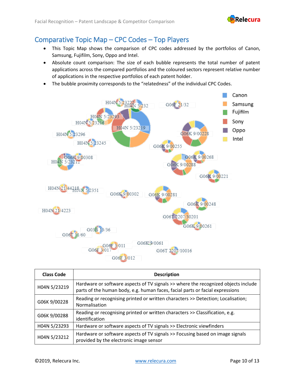

### Comparative Topic Map – CPC Codes – Top Players

- This Topic Map shows the comparison of CPC codes addressed by the portfolios of Canon, Samsung, Fujifilm, Sony, Oppo and Intel.
- Absolute count comparison: The size of each bubble represents the total number of patent applications across the compared portfolios and the coloured sectors represent relative number of applications in the respective portfolios of each patent holder.
- The bubble proximity corresponds to the "relatedness" of the individual CPC Codes.



| <b>Class Code</b> | <b>Description</b>                                                                                                                                                  |
|-------------------|---------------------------------------------------------------------------------------------------------------------------------------------------------------------|
| H04N 5/23219      | Hardware or software aspects of TV signals >> where the recognized objects include<br>parts of the human body, e.g. human faces, facial parts or facial expressions |
| G06K 9/00228      | Reading or recognising printed or written characters >> Detection; Localisation;<br>Normalisation                                                                   |
| G06K 9/00288      | Reading or recognising printed or written characters >> Classification, e.g.<br>identification                                                                      |
| H04N 5/23293      | Hardware or software aspects of TV signals >> Electronic viewfinders                                                                                                |
| H04N 5/23212      | Hardware or software aspects of TV signals >> Focusing based on image signals<br>provided by the electronic image sensor                                            |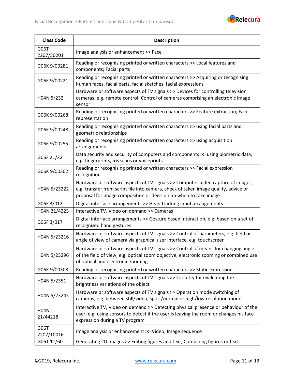

| <b>Class Code</b>       | <b>Description</b>                                                                                                                                                                                                                         |
|-------------------------|--------------------------------------------------------------------------------------------------------------------------------------------------------------------------------------------------------------------------------------------|
| G06T<br>2207/30201      | Image analysis or enhancement >> Face                                                                                                                                                                                                      |
| G06K 9/00281            | Reading or recognising printed or written characters >> Local features and<br>components; Facial parts                                                                                                                                     |
| G06K 9/00221            | Reading or recognising printed or written characters >> Acquiring or recognising<br>human faces, facial parts, facial sketches, facial expressions                                                                                         |
| H04N 5/232              | Hardware or software aspects of TV signals >> Devices for controlling television<br>cameras, e.g. remote control; Control of cameras comprising an electronic image<br>sensor                                                              |
| G06K 9/00268            | Reading or recognising printed or written characters >> Feature extraction; Face<br>representation                                                                                                                                         |
| G06K 9/00248            | Reading or recognising printed or written characters >> using facial parts and<br>geometric relationships                                                                                                                                  |
| G06K 9/00255            | Reading or recognising printed or written characters >> using acquisition<br>arrangements                                                                                                                                                  |
| G06F 21/32              | Data security and security of computers and components >> using biometric data,<br>e.g. fingerprints, iris scans or voiceprints                                                                                                            |
| G06K 9/00302            | Reading or recognising printed or written characters >> Facial expression<br>recognition                                                                                                                                                   |
| H04N 5/23222            | Hardware or software aspects of TV signals >> Computer-aided capture of images,<br>e.g. transfer from script file into camera, check of taken image quality, advice or<br>proposal for image composition or decision on when to take image |
| G06F 3/012              | Digital interface arrangements >> Head tracking input arrangements                                                                                                                                                                         |
| H04N 21/4223            | Interactive TV, Video on demand >> Cameras                                                                                                                                                                                                 |
| G06F 3/017              | Digital interface arrangements >> Gesture based interaction, e.g. based on a set of<br>recognized hand gestures                                                                                                                            |
| H04N 5/23216            | Hardware or software aspects of TV signals >> Control of parameters, e.g. field or<br>angle of view of camera via graphical user interface, e.g. touchscreen                                                                               |
| H04N 5/23296            | Hardware or software aspects of TV signals >> Control of means for changing angle<br>of the field of view, e.g. optical zoom objective, electronic zooming or combined use<br>of optical and electronic zooming                            |
| G06K 9/00308            | Reading or recognising printed or written characters >> Static expression                                                                                                                                                                  |
| H04N 5/2351             | Hardware or software aspects of TV signals >> Circuitry for evaluating the<br>brightness variations of the object                                                                                                                          |
| H04N 5/23245            | Hardware or software aspects of TV signals >> Operation mode switching of<br>cameras, e.g. between still/video, sport/normal or high/low resolution mode                                                                                   |
| <b>H04N</b><br>21/44218 | Interactive TV, Video on demand >> Detecting physical presence or behaviour of the<br>user, e.g. using sensors to detect if the user is leaving the room or changes his face<br>expression during a TV program                             |
| G06T<br>2207/10016      | Image analysis or enhancement >> Video; Image sequence                                                                                                                                                                                     |
| G06T 11/60              | Generating 2D Images >> Editing figures and text; Combining figures or text                                                                                                                                                                |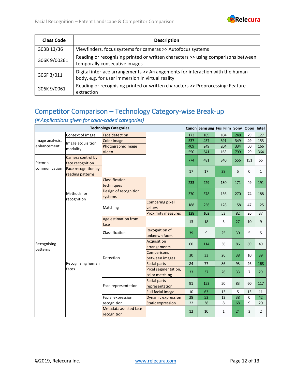

| <b>Class Code</b> | <b>Description</b>                                                                                                                |
|-------------------|-----------------------------------------------------------------------------------------------------------------------------------|
| G03B 13/36        | Viewfinders, focus systems for cameras >> Autofocus systems                                                                       |
| G06K 9/00261      | Reading or recognising printed or written characters >> using comparisons between<br>temporally consecutive images                |
| G06F 3/011        | Digital interface arrangements >> Arrangements for interaction with the human<br>body, e.g. for user immersion in virtual reality |
| G06K 9/0061       | Reading or recognising printed or written characters >> Preprocessing; Feature<br>extraction                                      |

### Competitor Comparison – Technology Category-wise Break-up

#### *(# Applications given for color-coded categories)*

|                         |                                         | <b>Technology Categories</b>          |                                       |     | Canon Samsung Fuji Film |              | Sony | Oppo        | Intel          |
|-------------------------|-----------------------------------------|---------------------------------------|---------------------------------------|-----|-------------------------|--------------|------|-------------|----------------|
|                         | Context of image                        | Face detection                        |                                       | 173 | 189                     | 104          | 248  | 79          | 127            |
| Image analysis,         |                                         | Color image                           |                                       | 537 | 457                     | 391          | 349  | 49          | 153            |
| enhancement             | Image acquisition                       | Photographic image                    |                                       | 409 | 249                     | 204          | 334  | 50          | 166            |
|                         | modality                                | Video                                 |                                       | 550 | 641                     | 163          | 799  | 29          | 364            |
|                         | Camera control by                       |                                       |                                       | 774 | 481                     | 340          | 556  | 151         | 66             |
| Pictorial               | face recognition                        |                                       |                                       |     |                         |              |      |             |                |
| communication           | Face recognition by<br>reading patterns |                                       |                                       | 17  | 17                      | 38           | 5    | $\mathbf 0$ | $\mathbf{1}$   |
|                         |                                         | Classification                        |                                       |     |                         |              |      |             |                |
|                         |                                         | techniques                            |                                       | 233 | 229                     | 130          | 171  | 49          | 191            |
|                         | Methods for<br>recognition              | Design of recognition<br>systems      |                                       | 370 | 378                     | 156          | 270  | 74          | 188            |
|                         |                                         | Matching                              | <b>Comparing pixel</b><br>values      | 188 | 256                     | 128          | 158  | 47          | 125            |
|                         |                                         |                                       | <b>Proximity measures</b>             | 128 | 102                     | 53           | 82   | 26          | 37             |
|                         |                                         | Age estimation from<br>face           |                                       | 13  | 18                      | 5            | 27   | 10          | 9              |
|                         |                                         | Classification                        | Recognition of<br>unknown faces       | 39  | 9                       | 25           | 30   | 5           | 5              |
| Recognising<br>patterns |                                         |                                       | Acquisition<br>arrangements           | 60  | 114                     | 36           | 86   | 69          | 49             |
|                         |                                         | Detection                             | Comparisons<br>between images         | 30  | 33                      | 26           | 38   | 10          | 39             |
|                         | Recognising human                       |                                       | <b>Facial parts</b>                   | 84  | 77                      | 86           | 93   | 26          | 168            |
|                         | faces                                   |                                       | Pixel segmentation,<br>color matching | 33  | 37                      | 26           | 33   | 7           | 29             |
|                         |                                         | Face representation                   | <b>Facial parts</b><br>representation | 91  | 153                     | 50           | 83   | 60          | 117            |
|                         |                                         |                                       | <b>Full facial image</b>              | 10  | 63                      | 13           | 5    | 13          | 11             |
|                         |                                         | Facial expression                     | <b>Dynamic expression</b>             | 28  | 53                      | 12           | 38   | $\Omega$    | 42             |
|                         |                                         | recognition                           | <b>Static expression</b>              | 22  | 38                      | 8            | 68   | 9           | 20             |
|                         |                                         | Metadata assisted face<br>recognition |                                       | 12  | 10                      | $\mathbf{1}$ | 24   | 3           | $\overline{2}$ |